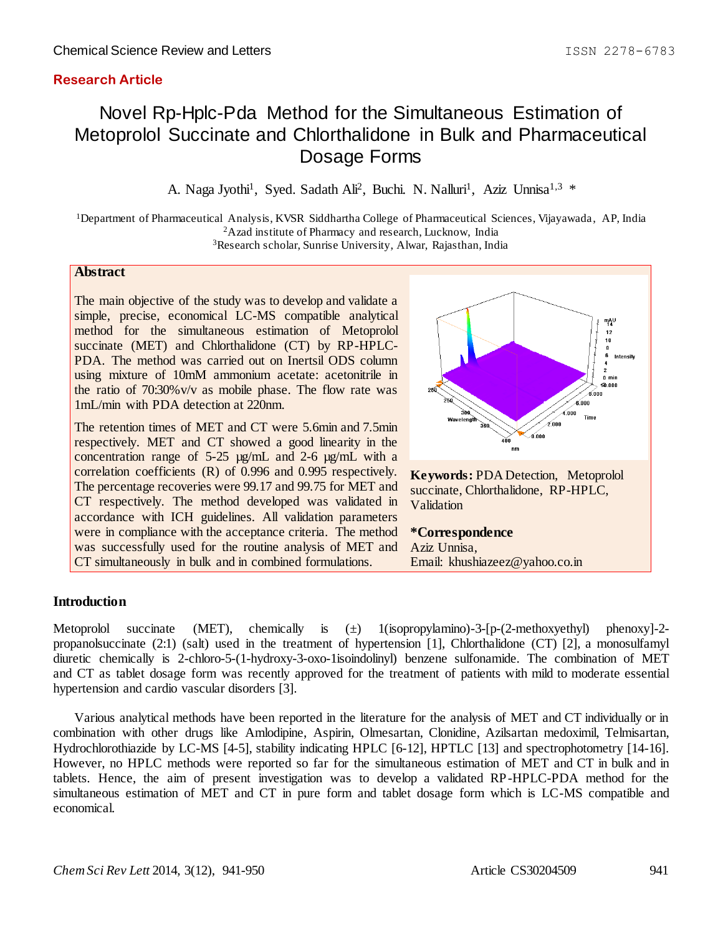# **Research Article**

# Novel Rp-Hplc-Pda Method for the Simultaneous Estimation of Metoprolol Succinate and Chlorthalidone in Bulk and Pharmaceutical Dosage Forms

A. Naga Jyothi<sup>1</sup>, Syed. Sadath Ali<sup>2</sup>, Buchi. N. Nalluri<sup>1</sup>, Aziz Unnisa<sup>1,3</sup> \*

<sup>1</sup>Department of Pharmaceutical Analysis, KVSR Siddhartha College of Pharmaceutical Sciences, Vijayawada, AP, India <sup>2</sup>Azad institute of Pharmacy and research, Lucknow, India <sup>3</sup>Research scholar, Sunrise University, Alwar, Rajasthan, India

# **Abstract**

The main objective of the study was to develop and validate a simple, precise, economical LC-MS compatible analytical method for the simultaneous estimation of Metoprolol succinate (MET) and Chlorthalidone (CT) by RP-HPLC-PDA. The method was carried out on Inertsil ODS column using mixture of 10mM ammonium acetate: acetonitrile in the ratio of 70:30%v/v as mobile phase. The flow rate was 1mL/min with PDA detection at 220nm.

The retention times of MET and CT were 5.6min and 7.5min respectively. MET and CT showed a good linearity in the concentration range of  $5-25 \mu g/mL$  and  $2-6 \mu g/mL$  with a correlation coefficients (R) of 0.996 and 0.995 respectively. The percentage recoveries were 99.17 and 99.75 for MET and CT respectively. The method developed was validated in accordance with ICH guidelines. All validation parameters were in compliance with the acceptance criteria. The method was successfully used for the routine analysis of MET and CT simultaneously in bulk and in combined formulations.



# **Introduction**

Metoprolol succinate (MET), chemically is  $(\pm)$  1(isopropylamino)-3-[p-(2-methoxyethyl) phenoxy]-2propanolsuccinate (2:1) (salt) used in the treatment of hypertension [1], Chlorthalidone (CT) [2], a monosulfamyl diuretic chemically is 2-chloro-5-(1-hydroxy-3-oxo-1isoindolinyl) benzene sulfonamide. The combination of MET and CT as tablet dosage form was recently approved for the treatment of patients with mild to moderate essential hypertension and cardio vascular disorders [3].

Various analytical methods have been reported in the literature for the analysis of MET and CT individually or in combination with other drugs like Amlodipine, Aspirin, Olmesartan, Clonidine, Azilsartan medoximil, Telmisartan, Hydrochlorothiazide by LC-MS [4-5], stability indicating HPLC [6-12], HPTLC [13] and spectrophotometry [14-16]. However, no HPLC methods were reported so far for the simultaneous estimation of MET and CT in bulk and in tablets. Hence, the aim of present investigation was to develop a validated RP-HPLC-PDA method for the simultaneous estimation of MET and CT in pure form and tablet dosage form which is LC-MS compatible and economical.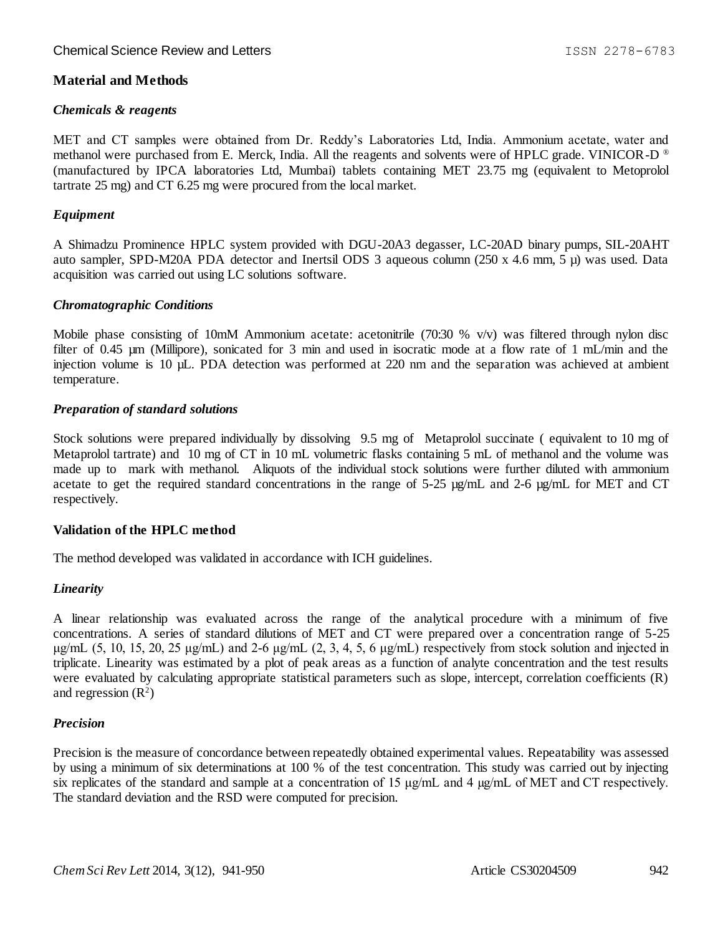# **Material and Methods**

# *Chemicals & reagents*

MET and CT samples were obtained from Dr. Reddy's Laboratories Ltd, India. Ammonium acetate, water and methanol were purchased from E. Merck, India. All the reagents and solvents were of HPLC grade. VINICOR-D ® (manufactured by IPCA laboratories Ltd, Mumbai) tablets containing MET 23.75 mg (equivalent to Metoprolol tartrate 25 mg) and CT 6.25 mg were procured from the local market.

# *Equipment*

A Shimadzu Prominence HPLC system provided with DGU-20A3 degasser, LC-20AD binary pumps, SIL-20AHT auto sampler, SPD-M20A PDA detector and Inertsil ODS 3 aqueous column (250 x 4.6 mm, 5 µ) was used. Data acquisition was carried out using LC solutions software.

# *Chromatographic Conditions*

Mobile phase consisting of 10mM Ammonium acetate: acetonitrile (70:30 % v/v) was filtered through nylon disc filter of 0.45 µm (Millipore), sonicated for 3 min and used in isocratic mode at a flow rate of 1 mL/min and the injection volume is 10 µL. PDA detection was performed at 220 nm and the separation was achieved at ambient temperature.

# *Preparation of standard solutions*

Stock solutions were prepared individually by dissolving 9.5 mg of Metaprolol succinate ( equivalent to 10 mg of Metaprolol tartrate) and 10 mg of CT in 10 mL volumetric flasks containing 5 mL of methanol and the volume was made up to mark with methanol. Aliquots of the individual stock solutions were further diluted with ammonium acetate to get the required standard concentrations in the range of 5-25  $\mu$ g/mL and 2-6  $\mu$ g/mL for MET and CT respectively.

# **Validation of the HPLC method**

The method developed was validated in accordance with ICH guidelines.

# *Linearity*

A linear relationship was evaluated across the range of the analytical procedure with a minimum of five concentrations. A series of standard dilutions of MET and CT were prepared over a concentration range of 5-25 μg/mL  $(5, 10, 15, 20, 25 \mu g/mL)$  and 2-6 μg/mL  $(2, 3, 4, 5, 6 \mu g/mL)$  respectively from stock solution and injected in triplicate. Linearity was estimated by a plot of peak areas as a function of analyte concentration and the test results were evaluated by calculating appropriate statistical parameters such as slope, intercept, correlation coefficients (R) and regression  $(R<sup>2</sup>)$ 

# *Precision*

Precision is the measure of concordance between repeatedly obtained experimental values. Repeatability was assessed by using a minimum of six determinations at 100 % of the test concentration. This study was carried out by injecting six replicates of the standard and sample at a concentration of 15 μg/mL and 4 µg/mL of MET and CT respectively. The standard deviation and the RSD were computed for precision.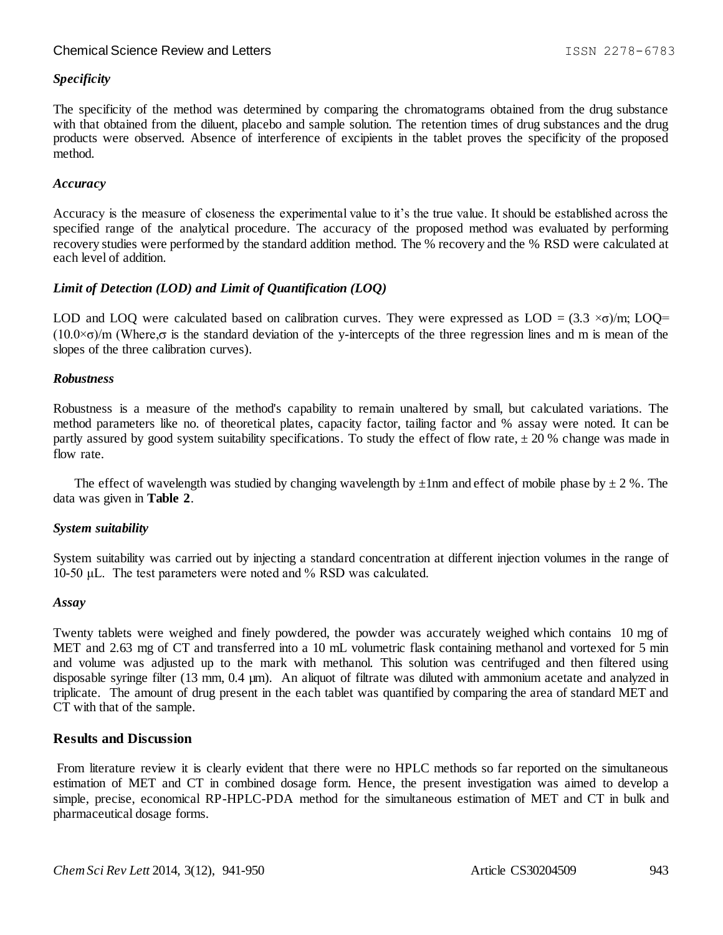# *Specificity*

The specificity of the method was determined by comparing the chromatograms obtained from the drug substance with that obtained from the diluent, placebo and sample solution. The retention times of drug substances and the drug products were observed. Absence of interference of excipients in the tablet proves the specificity of the proposed method.

#### *Accuracy*

Accuracy is the measure of closeness the experimental value to it's the true value. It should be established across the specified range of the analytical procedure. The accuracy of the proposed method was evaluated by performing recovery studies were performed by the standard addition method. The % recovery and the % RSD were calculated at each level of addition.

# *Limit of Detection (LOD) and Limit of Quantification (LOQ)*

LOD and LOQ were calculated based on calibration curves. They were expressed as LOD =  $(3.3 \times \sigma)/m$ ; LOQ=  $(10.0\times\sigma)/m$  (Where, $\sigma$  is the standard deviation of the y-intercepts of the three regression lines and m is mean of the slopes of the three calibration curves).

#### *Robustness*

Robustness is a measure of the method's capability to remain unaltered by small, but calculated variations. The method parameters like no. of theoretical plates, capacity factor, tailing factor and % assay were noted. It can be partly assured by good system suitability specifications. To study the effect of flow rate,  $\pm 20$  % change was made in flow rate.

The effect of wavelength was studied by changing wavelength by  $\pm 1$ nm and effect of mobile phase by  $\pm 2$  %. The data was given in **Table 2**.

# *System suitability*

System suitability was carried out by injecting a standard concentration at different injection volumes in the range of 10-50 μL. The test parameters were noted and % RSD was calculated.

#### *Assay*

Twenty tablets were weighed and finely powdered, the powder was accurately weighed which contains 10 mg of MET and 2.63 mg of CT and transferred into a 10 mL volumetric flask containing methanol and vortexed for 5 min and volume was adjusted up to the mark with methanol. This solution was centrifuged and then filtered using disposable syringe filter (13 mm, 0.4 µm). An aliquot of filtrate was diluted with ammonium acetate and analyzed in triplicate. The amount of drug present in the each tablet was quantified by comparing the area of standard MET and CT with that of the sample.

# **Results and Discussion**

From literature review it is clearly evident that there were no HPLC methods so far reported on the simultaneous estimation of MET and CT in combined dosage form. Hence, the present investigation was aimed to develop a simple, precise, economical RP-HPLC-PDA method for the simultaneous estimation of MET and CT in bulk and pharmaceutical dosage forms.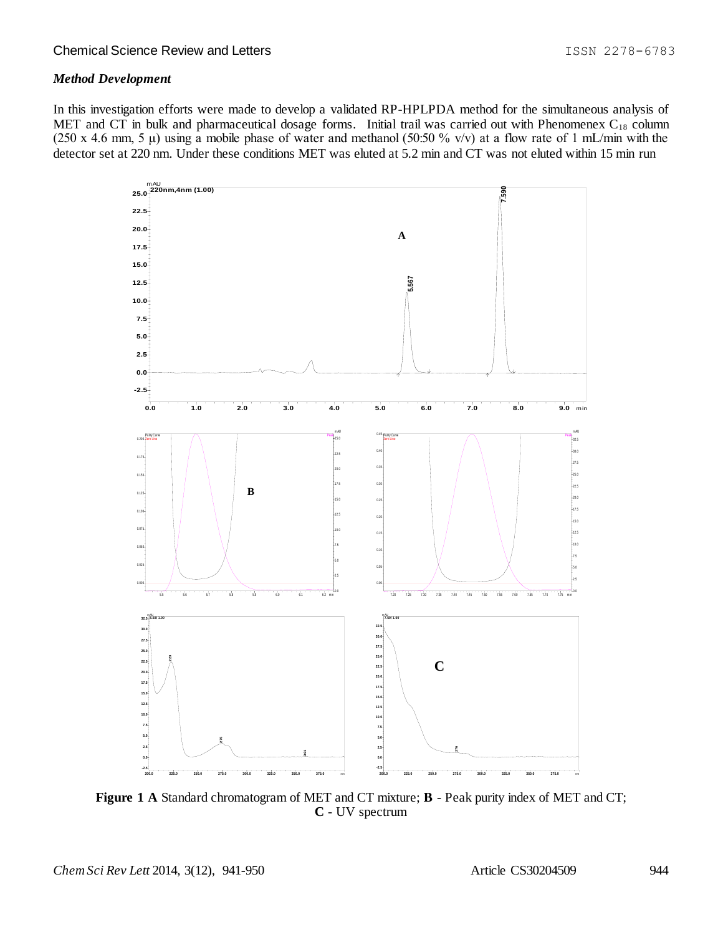# *Method Development*

In this investigation efforts were made to develop a validated RP-HPLPDA method for the simultaneous analysis of MET and CT in bulk and pharmaceutical dosage forms. Initial trail was carried out with Phenomenex  $C_{18}$  column (250 x 4.6 mm, 5  $\mu$ ) using a mobile phase of water and methanol (50:50 % v/v) at a flow rate of 1 mL/min with the detector set at 220 nm. Under these conditions MET was eluted at 5.2 min and CT was not eluted within 15 min run



**Figure 1 A** Standard chromatogram of MET and CT mixture; **B** - Peak purity index of MET and CT; **C** - UV spectrum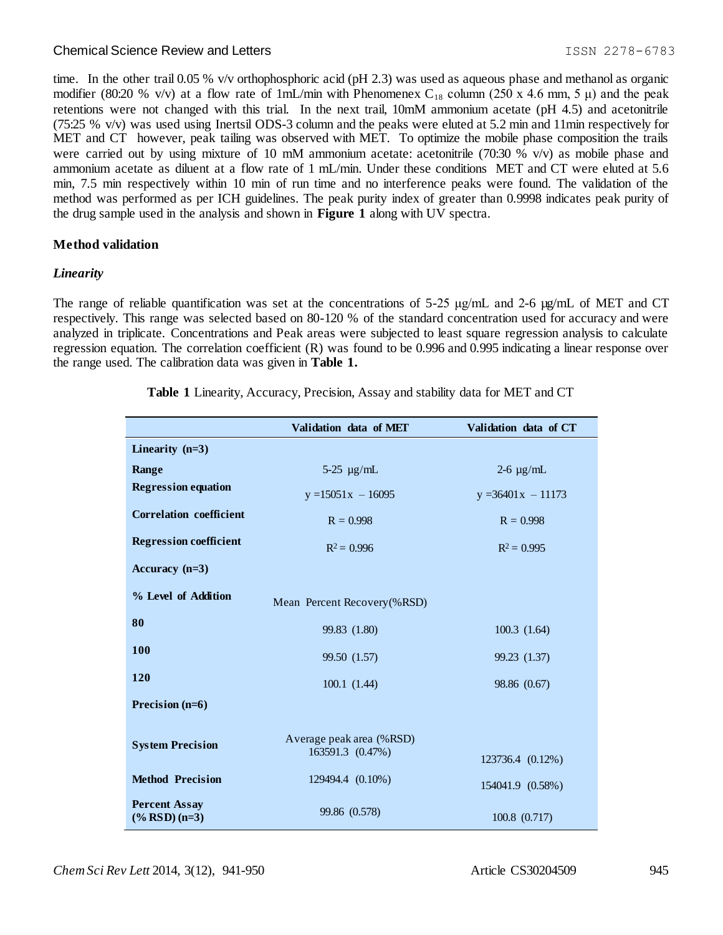time. In the other trail 0.05 % v/v orthophosphoric acid (pH 2.3) was used as aqueous phase and methanol as organic modifier (80:20 % v/v) at a flow rate of 1mL/min with Phenomenex C<sub>18</sub> column (250 x 4.6 mm, 5  $\mu$ ) and the peak retentions were not changed with this trial. In the next trail, 10mM ammonium acetate (pH 4.5) and acetonitrile (75:25 % v/v) was used using Inertsil ODS-3 column and the peaks were eluted at 5.2 min and 11min respectively for MET and CT however, peak tailing was observed with MET. To optimize the mobile phase composition the trails were carried out by using mixture of 10 mM ammonium acetate: acetonitrile (70:30 % v/v) as mobile phase and ammonium acetate as diluent at a flow rate of 1 mL/min. Under these conditions MET and CT were eluted at 5.6 min, 7.5 min respectively within 10 min of run time and no interference peaks were found. The validation of the method was performed as per ICH guidelines. The peak purity index of greater than 0.9998 indicates peak purity of the drug sample used in the analysis and shown in **Figure 1** along with UV spectra.

# **Method validation**

# *Linearity*

The range of reliable quantification was set at the concentrations of 5-25  $\mu$ g/mL and 2-6  $\mu$ g/mL of MET and CT respectively. This range was selected based on 80-120 % of the standard concentration used for accuracy and were analyzed in triplicate. Concentrations and Peak areas were subjected to least square regression analysis to calculate regression equation. The correlation coefficient (R) was found to be 0.996 and 0.995 indicating a linear response over the range used. The calibration data was given in **Table 1.**

|                                                   | Validation data of MET                       | Validation data of CT |  |
|---------------------------------------------------|----------------------------------------------|-----------------------|--|
| Linearity $(n=3)$                                 |                                              |                       |  |
| Range                                             | $5-25 \mu g/mL$                              | $2-6 \mu g/mL$        |  |
| <b>Regression equation</b>                        | $y = 15051x - 16095$                         | $y = 36401x - 11173$  |  |
| <b>Correlation coefficient</b>                    | $R = 0.998$                                  | $R = 0.998$           |  |
| <b>Regression coefficient</b>                     | $R^2 = 0.996$                                | $R^2 = 0.995$         |  |
| Accuracy $(n=3)$                                  |                                              |                       |  |
| % Level of Addition                               | Mean Percent Recovery(%RSD)                  |                       |  |
| 80                                                | 99.83 (1.80)                                 | 100.3(1.64)           |  |
| 100                                               | 99.50 (1.57)                                 | 99.23 (1.37)          |  |
| 120                                               | 100.1(1.44)                                  | 98.86 (0.67)          |  |
| Precision (n=6)                                   |                                              |                       |  |
| <b>System Precision</b>                           | Average peak area (%RSD)<br>163591.3 (0.47%) |                       |  |
|                                                   |                                              | 123736.4 (0.12%)      |  |
| <b>Method Precision</b>                           | 129494.4 (0.10%)                             | 154041.9 (0.58%)      |  |
| <b>Percent Assay</b><br>$(% \mathbf{RSD} )$ (n=3) | 99.86 (0.578)                                | 100.8 (0.717)         |  |

**Table 1** Linearity, Accuracy, Precision, Assay and stability data for MET and CT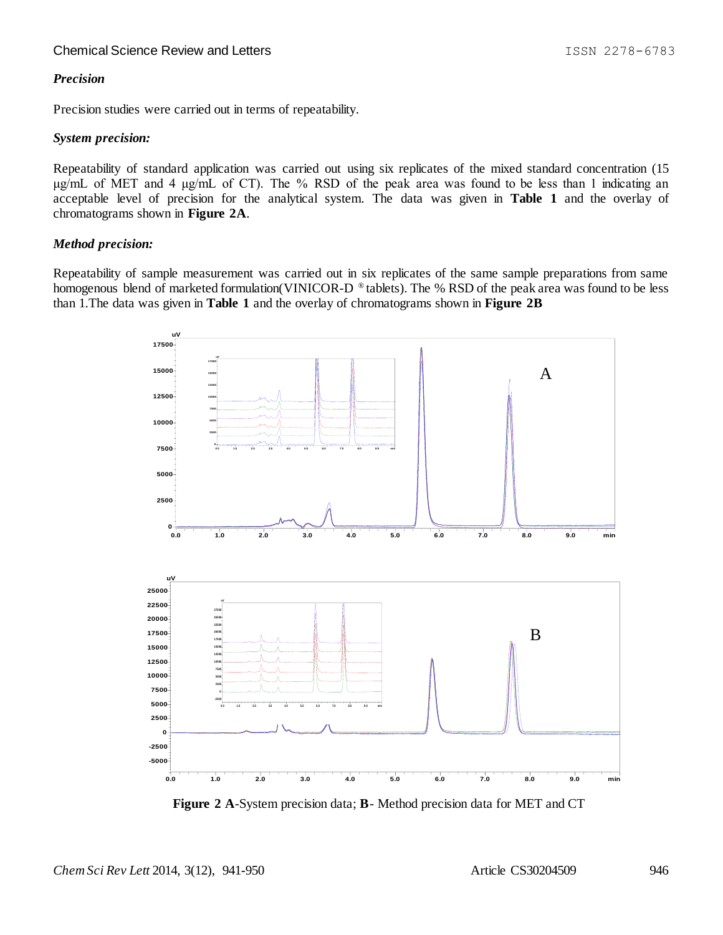# *Precision*

Precision studies were carried out in terms of repeatability.

#### *System precision:*

Repeatability of standard application was carried out using six replicates of the mixed standard concentration (15 μg/mL of MET and 4 μg/mL of CT). The % RSD of the peak area was found to be less than 1 indicating an acceptable level of precision for the analytical system. The data was given in **Table 1** and the overlay of chromatograms shown in **Figure 2A**.

# *Method precision:*

Repeatability of sample measurement was carried out in six replicates of the same sample preparations from same homogenous blend of marketed formulation(VINICOR-D ® tablets). The % RSD of the peak area was found to be less than 1.The data was given in **Table 1** and the overlay of chromatograms shown in **Figure 2B**



 **Figure 2 A**-System precision data; **B**- Method precision data for MET and CT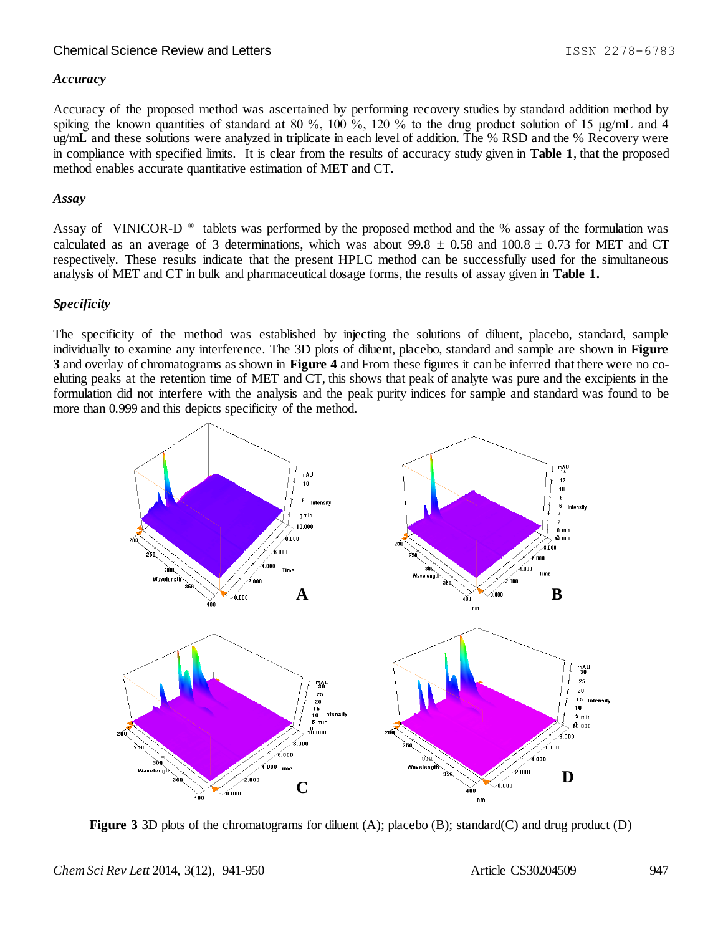#### *Accuracy*

Accuracy of the proposed method was ascertained by performing recovery studies by standard addition method by spiking the known quantities of standard at 80 %, 100 %, 120 % to the drug product solution of 15  $\mu$ g/mL and 4 ug/mL and these solutions were analyzed in triplicate in each level of addition. The % RSD and the % Recovery were in compliance with specified limits. It is clear from the results of accuracy study given in **Table 1**, that the proposed method enables accurate quantitative estimation of MET and CT.

#### *Assay*

Assay of VINICOR-D<sup>®</sup> tablets was performed by the proposed method and the % assay of the formulation was calculated as an average of 3 determinations, which was about 99.8  $\pm$  0.58 and 100.8  $\pm$  0.73 for MET and CT respectively. These results indicate that the present HPLC method can be successfully used for the simultaneous analysis of MET and CT in bulk and pharmaceutical dosage forms, the results of assay given in **Table 1.**

#### *Specificity*

The specificity of the method was established by injecting the solutions of diluent, placebo, standard, sample individually to examine any interference. The 3D plots of diluent, placebo, standard and sample are shown in **Figure 3** and overlay of chromatograms as shown in **Figure 4** and From these figures it can be inferred that there were no coeluting peaks at the retention time of MET and CT, this shows that peak of analyte was pure and the excipients in the formulation did not interfere with the analysis and the peak purity indices for sample and standard was found to be more than 0.999 and this depicts specificity of the method.



**Figure 3** 3D plots of the chromatograms for diluent (A); placebo (B); standard(C) and drug product (D)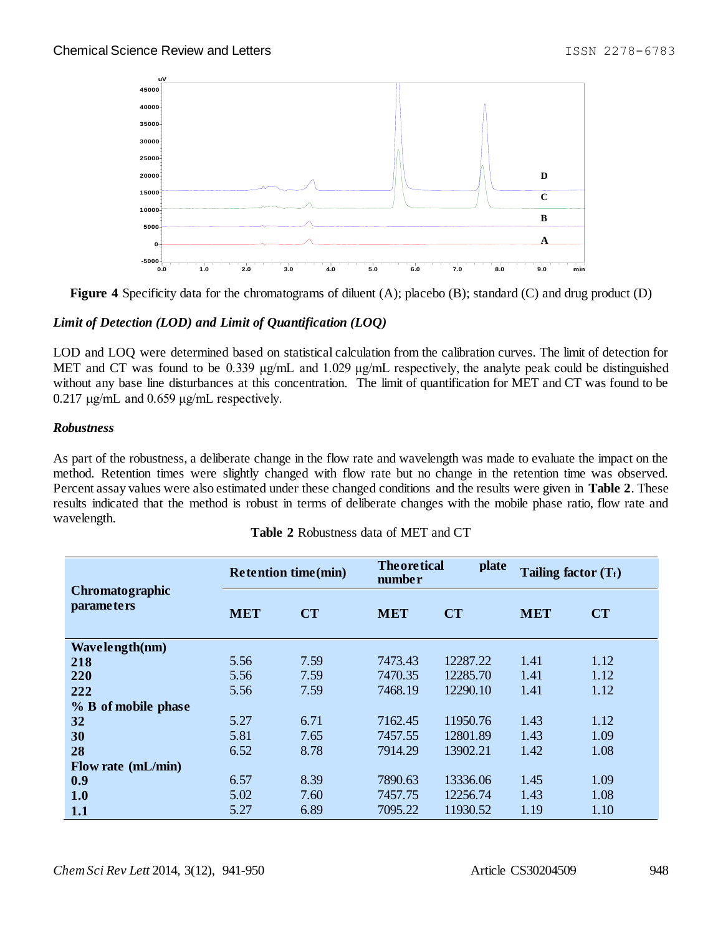

**Figure 4** Specificity data for the chromatograms of diluent (A); placebo (B); standard (C) and drug product (D)

# *Limit of Detection (LOD) and Limit of Quantification (LOQ)*

LOD and LOQ were determined based on statistical calculation from the calibration curves. The limit of detection for MET and CT was found to be 0.339 μg/mL and 1.029 μg/mL respectively, the analyte peak could be distinguished without any base line disturbances at this concentration. The limit of quantification for MET and CT was found to be  $0.217$  μg/mL and  $0.659$  μg/mL respectively.

# *Robustness*

As part of the robustness, a deliberate change in the flow rate and wavelength was made to evaluate the impact on the method. Retention times were slightly changed with flow rate but no change in the retention time was observed. Percent assay values were also estimated under these changed conditions and the results were given in **Table 2**. These results indicated that the method is robust in terms of deliberate changes with the mobile phase ratio, flow rate and wavelength.

| Chromatographic<br>parameters | <b>Retention time(min)</b> |           | <b>Theoretical</b><br>plate<br>number |           | Tailing factor $(T_f)$ |           |
|-------------------------------|----------------------------|-----------|---------------------------------------|-----------|------------------------|-----------|
|                               | <b>MET</b>                 | <b>CT</b> | <b>MET</b>                            | <b>CT</b> | <b>MET</b>             | <b>CT</b> |
| Wavelength(nm)                |                            |           |                                       |           |                        |           |
| 218                           | 5.56                       | 7.59      | 7473.43                               | 12287.22  | 1.41                   | 1.12      |
| 220                           | 5.56                       | 7.59      | 7470.35                               | 12285.70  | 1.41                   | 1.12      |
| 222                           | 5.56                       | 7.59      | 7468.19                               | 12290.10  | 1.41                   | 1.12      |
| % B of mobile phase           |                            |           |                                       |           |                        |           |
| 32                            | 5.27                       | 6.71      | 7162.45                               | 11950.76  | 1.43                   | 1.12      |
| 30                            | 5.81                       | 7.65      | 7457.55                               | 12801.89  | 1.43                   | 1.09      |
| 28                            | 6.52                       | 8.78      | 7914.29                               | 13902.21  | 1.42                   | 1.08      |
| Flow rate (mL/min)            |                            |           |                                       |           |                        |           |
| 0.9                           | 6.57                       | 8.39      | 7890.63                               | 13336.06  | 1.45                   | 1.09      |
| 1.0                           | 5.02                       | 7.60      | 7457.75                               | 12256.74  | 1.43                   | 1.08      |
| 1.1                           | 5.27                       | 6.89      | 7095.22                               | 11930.52  | 1.19                   | 1.10      |

| <b>Table 2 Robustness data of MET and CT</b> |  |  |
|----------------------------------------------|--|--|
|----------------------------------------------|--|--|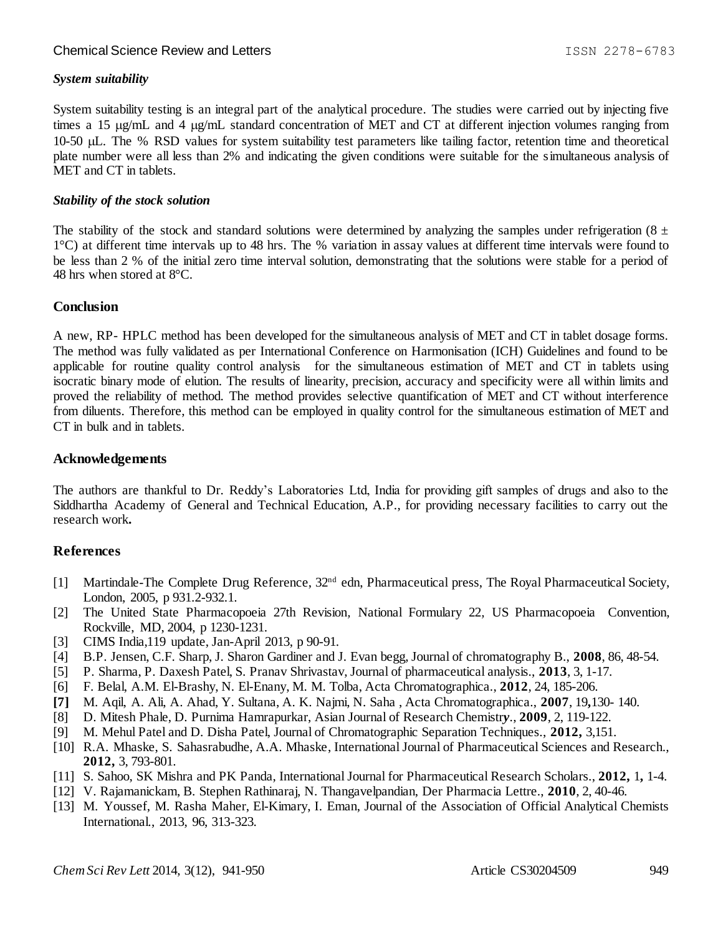# *System suitability*

System suitability testing is an integral part of the analytical procedure. The studies were carried out by injecting five times a 15  $\mu$ g/mL and 4  $\mu$ g/mL standard concentration of MET and CT at different injection volumes ranging from 10-50 µL. The % RSD values for system suitability test parameters like tailing factor, retention time and theoretical plate number were all less than 2% and indicating the given conditions were suitable for the simultaneous analysis of MET and CT in tablets.

### *Stability of the stock solution*

The stability of the stock and standard solutions were determined by analyzing the samples under refrigeration (8  $\pm$ 1°C) at different time intervals up to 48 hrs. The % variation in assay values at different time intervals were found to be less than 2 % of the initial zero time interval solution, demonstrating that the solutions were stable for a period of 48 hrs when stored at 8°C.

# **Conclusion**

A new, RP- HPLC method has been developed for the simultaneous analysis of MET and CT in tablet dosage forms. The method was fully validated as per International Conference on Harmonisation (ICH) Guidelines and found to be applicable for routine quality control analysis for the simultaneous estimation of MET and CT in tablets using isocratic binary mode of elution. The results of linearity, precision, accuracy and specificity were all within limits and proved the reliability of method. The method provides selective quantification of MET and CT without interference from diluents. Therefore, this method can be employed in quality control for the simultaneous estimation of MET and CT in bulk and in tablets.

# **Acknowledgements**

The authors are thankful to Dr. Reddy's Laboratories Ltd, India for providing gift samples of drugs and also to the Siddhartha Academy of General and Technical Education, A.P., for providing necessary facilities to carry out the research work**.**

# **References**

- [1] Martindale-The Complete Drug Reference, 32nd edn, Pharmaceutical press, The Royal Pharmaceutical Society, London, 2005, p 931.2-932.1.
- [2] The United State Pharmacopoeia 27th Revision*,* National Formulary 22*,* US Pharmacopoeia Convention, Rockville, MD, 2004, p 1230-1231.
- [3] CIMS India,119 update, Jan-April 2013, p 90-91.
- [4] B.P. Jensen, C.F. Sharp, J. Sharon Gardiner and J. Evan begg, Journal of chromatography B., **2008**, 86, 48-54.
- [5] P. Sharma, P. Daxesh Patel, S. Pranav Shrivastav, Journal of pharmaceutical analysis., **2013**, 3, 1-17.
- [6] F. Belal, A.M. El-Brashy, N. El-Enany, M. M. Tolba, Acta Chromatographica., **2012**, 24, 185-206.
- **[7]** M. Aqil, A. Ali, A. Ahad, Y. Sultana, A. K. Najmi, N. Saha , Acta Chromatographica., **2007**, 19**,**130- 140.
- [8] D. Mitesh Phale, D. Purnima Hamrapurkar, Asian Journal of Research Chemistr*y*., **2009**, 2, 119-122.
- [9] M. Mehul Patel and D. Disha Patel, Journal of Chromatographic Separation Techniques., **2012,** 3,151.
- [10] R.A. Mhaske, S. Sahasrabudhe, A.A. Mhaske, International Journal of Pharmaceutical Sciences and Research., **2012,** 3, 793-801.
- [11] S. Sahoo, SK Mishra and PK Panda, International Journal for Pharmaceutical Research Scholars., **2012,** 1**,** 1-4.
- [12] V. Rajamanickam, B. Stephen Rathinaraj, N. Thangavelpandian, Der Pharmacia Lettre., **2010**, 2, 40-46.
- [13] M. Youssef, M. Rasha Maher, El-Kimary, I. Eman, Journal of the Association of Official Analytical Chemists International., 2013, 96, 313-323.